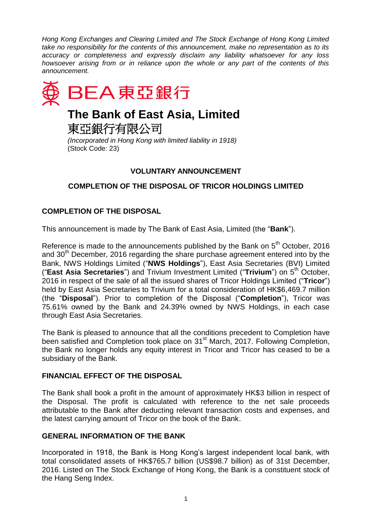*Hong Kong Exchanges and Clearing Limited and The Stock Exchange of Hong Kong Limited take no responsibility for the contents of this announcement, make no representation as to its accuracy or completeness and expressly disclaim any liability whatsoever for any loss howsoever arising from or in reliance upon the whole or any part of the contents of this announcement.*



# **The Bank of East Asia, Limited**

東亞銀行有限公司

*(Incorporated in Hong Kong with limited liability in 1918)* (Stock Code: 23)

# **VOLUNTARY ANNOUNCEMENT**

# **COMPLETION OF THE DISPOSAL OF TRICOR HOLDINGS LIMITED**

## **COMPLETION OF THE DISPOSAL**

This announcement is made by The Bank of East Asia, Limited (the "**Bank**").

Reference is made to the announcements published by the Bank on  $5<sup>th</sup>$  October, 2016 and  $30<sup>th</sup>$  December, 2016 regarding the share purchase agreement entered into by the Bank, NWS Holdings Limited ("**NWS Holdings**"), East Asia Secretaries (BVI) Limited ("**East Asia Secretaries**") and Trivium Investment Limited ("Trivium") on 5<sup>th</sup> October, 2016 in respect of the sale of all the issued shares of Tricor Holdings Limited ("**Tricor**") held by East Asia Secretaries to Trivium for a total consideration of HK\$6,469.7 million (the "**Disposal**"). Prior to completion of the Disposal ("**Completion**"), Tricor was 75.61% owned by the Bank and 24.39% owned by NWS Holdings, in each case through East Asia Secretaries.

The Bank is pleased to announce that all the conditions precedent to Completion have been satisfied and Completion took place on 31<sup>st</sup> March, 2017. Following Completion, the Bank no longer holds any equity interest in Tricor and Tricor has ceased to be a subsidiary of the Bank.

### **FINANCIAL EFFECT OF THE DISPOSAL**

The Bank shall book a profit in the amount of approximately HK\$3 billion in respect of the Disposal. The profit is calculated with reference to the net sale proceeds attributable to the Bank after deducting relevant transaction costs and expenses, and the latest carrying amount of Tricor on the book of the Bank.

### **GENERAL INFORMATION OF THE BANK**

Incorporated in 1918, the Bank is Hong Kong's largest independent local bank, with total consolidated assets of HK\$765.7 billion (US\$98.7 billion) as of 31st December, 2016. Listed on The Stock Exchange of Hong Kong, the Bank is a constituent stock of the Hang Seng Index.